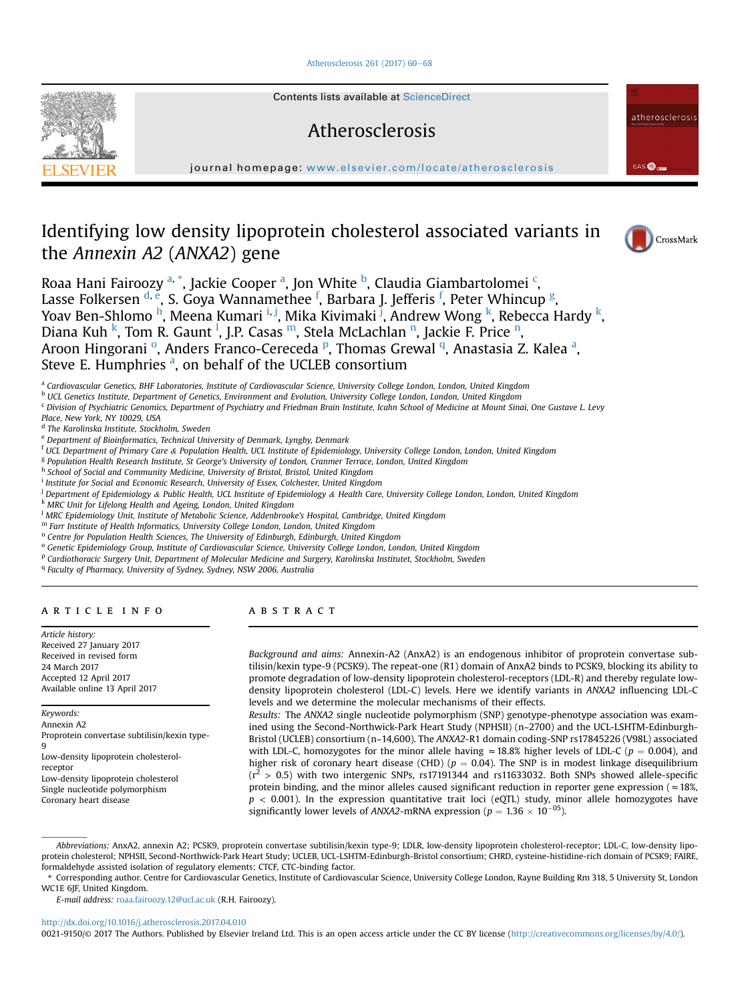Atherosclerosis 261 (2017)  $60-68$  $60-68$ 



Contents lists available at ScienceDirect

# Atherosclerosis

journal homepage: [www.elsevier.com/locate/atherosclerosis](http://www.elsevier.com/locate/atherosclerosis)

# Identifying low density lipoprotein cholesterol associated variants in the Annexin A2 (ANXA2) gene



atherosclerosis

EAS **O** 

Roaa Hani Fairoozy <sup>a, \*</sup>, Jackie Cooper <sup>a</sup>, Jon White <sup>b</sup>, Claudia Giambartolomei <sup>c</sup>, Lasse Folkersen <sup>d, e</sup>, S. Goya Wannamethee <sup>f</sup>, Barbara J. Jefferis <sup>f</sup>, Peter Whincup <sup>g</sup>, Yoav Ben-Shlomo <sup>h</sup>, Meena Kumari <sup>i, j</sup>, Mika Kivimaki <sup>j</sup>, Andrew Wong <sup>k</sup>, Rebecca Hardy <sup>k</sup>, Diana Kuh <sup>k</sup>, Tom R. Gaunt <sup>l</sup>, J.P. Casas <sup>m</sup>, Stela McLachlan <sup>n</sup>, Jackie F. Price <sup>n</sup>, Aroon Hingorani <sup>o</sup>, Anders Franco-Cereceda <sup>p</sup>, Thomas Grewal <sup>q</sup>, Anastasia Z. Kalea <sup>a</sup>, Steve E. Humphries <sup>a</sup>, on behalf of the UCLEB consortium

a Cardiovascular Genetics, BHF Laboratories, Institute of Cardiovascular Science, University College London, London, United Kingdom

<sup>b</sup> UCL Genetics Institute, Department of Genetics, Environment and Evolution, University College London, London, United Kingdom

<sup>c</sup> Division of Psychiatric Genomics, Department of Psychiatry and Friedman Brain Institute, Icahn School of Medicine at Mount Sinai, One Gustave L. Levy

Place, New York, NY 10029, USA

<sup>d</sup> The Karolinska Institute, Stockholm, Sweden

<sup>e</sup> Department of Bioinformatics, Technical University of Denmark, Lyngby, Denmark

<sup>f</sup> UCL Department of Primary Care & Population Health, UCL Institute of Epidemiology, University College London, London, United Kingdom

<sup>g</sup> Population Health Research Institute, St George's University of London, Cranmer Terrace, London, United Kingdom

h School of Social and Community Medicine, University of Bristol, Bristol, United Kingdom

<sup>i</sup> Institute for Social and Economic Research, University of Essex, Colchester, United Kingdom

<sup>j</sup> Department of Epidemiology & Public Health, UCL Institute of Epidemiology & Health Care, University College London, London, United Kingdom

<sup>k</sup> MRC Unit for Lifelong Health and Ageing, London, United Kingdom

<sup>1</sup> MRC Epidemiology Unit, Institute of Metabolic Science, Addenbrooke's Hospital, Cambridge, United Kingdom

<sup>m</sup> Farr Institute of Health Informatics, University College London, London, United Kingdom

<sup>n</sup> Centre for Population Health Sciences, The University of Edinburgh, Edinburgh, United Kingdom

<sup>o</sup> Genetic Epidemiology Group, Institute of Cardiovascular Science, University College London, London, United Kingdom

<sup>p</sup> Cardiothoracic Surgery Unit, Department of Molecular Medicine and Surgery, Karolinska Institutet, Stockholm, Sweden

<sup>q</sup> Faculty of Pharmacy, University of Sydney, Sydney, NSW 2006, Australia

# article info

# ABSTRACT

Article history: Received 27 January 2017 Received in revised form 24 March 2017 Accepted 12 April 2017 Available online 13 April 2017

Keywords: Annexin A2 Proprotein convertase subtilisin/kexin type-9 Low-density lipoprotein cholesterolreceptor Low-density lipoprotein cholesterol Single nucleotide polymorphism

Coronary heart disease

Background and aims: Annexin-A2 (AnxA2) is an endogenous inhibitor of proprotein convertase subtilisin/kexin type-9 (PCSK9). The repeat-one (R1) domain of AnxA2 binds to PCSK9, blocking its ability to promote degradation of low-density lipoprotein cholesterol-receptors (LDL-R) and thereby regulate lowdensity lipoprotein cholesterol (LDL-C) levels. Here we identify variants in ANXA2 influencing LDL-C levels and we determine the molecular mechanisms of their effects.

Results: The ANXA2 single nucleotide polymorphism (SNP) genotype-phenotype association was examined using the Second-Northwick-Park Heart Study (NPHSII) (n~2700) and the UCL-LSHTM-Edinburgh-Bristol (UCLEB) consortium (n~14,600). The ANXA2-R1 domain coding-SNP rs17845226 (V98L) associated with LDL-C, homozygotes for the minor allele having  $\approx$  18.8% higher levels of LDL-C ( $p = 0.004$ ), and higher risk of coronary heart disease (CHD) ( $p = 0.04$ ). The SNP is in modest linkage disequilibrium  $(r^2 > 0.5)$  with two intergenic SNPs, rs17191344 and rs11633032. Both SNPs showed allele-specific protein binding, and the minor alleles caused significant reduction in reporter gene expression ( $\approx$  18%,  $p < 0.001$ ). In the expression quantitative trait loci (eQTL) study, minor allele homozygotes have significantly lower levels of ANXA2-mRNA expression ( $p = 1.36 \times 10^{-05}$ ).

E-mail address: [roaa.fairoozy.12@ucl.ac.uk](mailto:roaa.fairoozy.12@ucl.ac.uk) (R.H. Fairoozy).

<http://dx.doi.org/10.1016/j.atherosclerosis.2017.04.010>

0021-9150/© 2017 The Authors. Published by Elsevier Ireland Ltd. This is an open access article under the CC BY license ([http://creativecommons.org/licenses/by/4.0/\)](http://creativecommons.org/licenses/by/4.0/).

Abbreviations: AnxA2, annexin A2; PCSK9, proprotein convertase subtilisin/kexin type-9; LDLR, low-density lipoprotein cholesterol-receptor; LDL-C, low-density lipoprotein cholesterol; NPHSII, Second-Northwick-Park Heart Study; UCLEB, UCL-LSHTM-Edinburgh-Bristol consortium; CHRD, cysteine-histidine-rich domain of PCSK9; FAIRE, formaldehyde assisted isolation of regulatory elements; CTCF, CTC-binding factor.

<sup>\*</sup> Corresponding author. Centre for Cardiovascular Genetics, Institute of Cardiovascular Science, University College London, Rayne Building Rm 318, 5 University St, London WC1E 6JF, United Kingdom.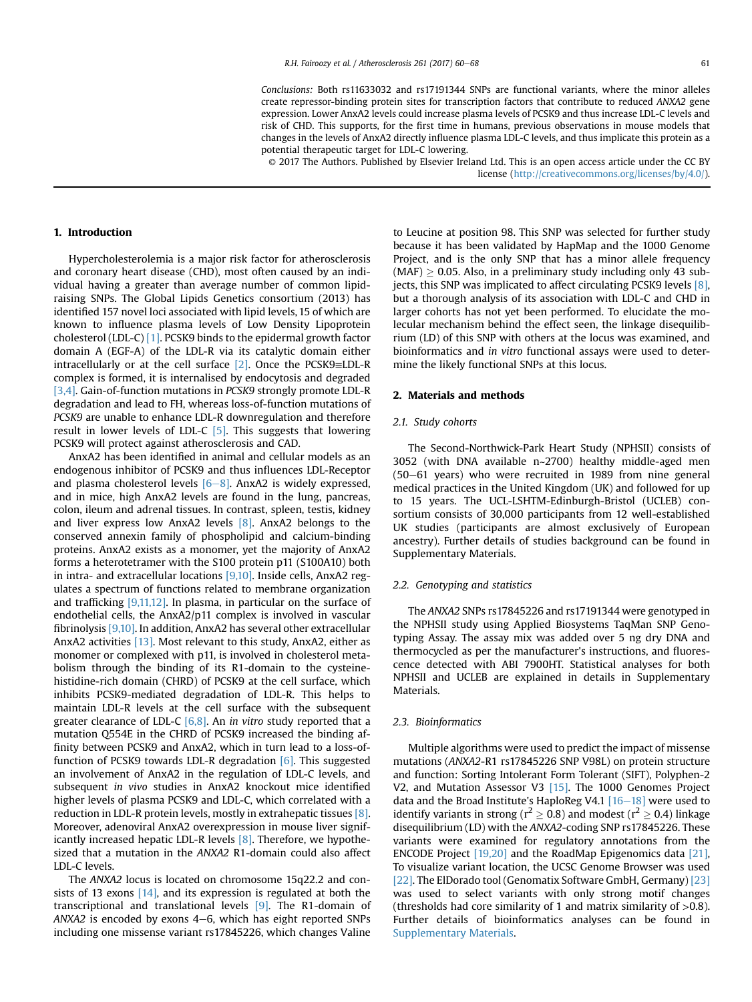Conclusions: Both rs11633032 and rs17191344 SNPs are functional variants, where the minor alleles create repressor-binding protein sites for transcription factors that contribute to reduced ANXA2 gene expression. Lower AnxA2 levels could increase plasma levels of PCSK9 and thus increase LDL-C levels and risk of CHD. This supports, for the first time in humans, previous observations in mouse models that changes in the levels of AnxA2 directly influence plasma LDL-C levels, and thus implicate this protein as a potential therapeutic target for LDL-C lowering.

© 2017 The Authors. Published by Elsevier Ireland Ltd. This is an open access article under the CC BY license [\(http://creativecommons.org/licenses/by/4.0/](http://creativecommons.org/licenses/by/4.0/)).

## 1. Introduction

Hypercholesterolemia is a major risk factor for atherosclerosis and coronary heart disease (CHD), most often caused by an individual having a greater than average number of common lipidraising SNPs. The Global Lipids Genetics consortium (2013) has identified 157 novel loci associated with lipid levels, 15 of which are known to influence plasma levels of Low Density Lipoprotein cholesterol (LDL-C) [\[1\].](#page-7-0) PCSK9 binds to the epidermal growth factor domain A (EGF-A) of the LDL-R via its catalytic domain either intracellularly or at the cell surface [\[2\].](#page-7-0) Once the PCSK9≡LDL-R complex is formed, it is internalised by endocytosis and degraded [\[3,4\].](#page-7-0) Gain-of-function mutations in PCSK9 strongly promote LDL-R degradation and lead to FH, whereas loss-of-function mutations of PCSK9 are unable to enhance LDL-R downregulation and therefore result in lower levels of LDL-C [\[5\]](#page-7-0). This suggests that lowering PCSK9 will protect against atherosclerosis and CAD.

AnxA2 has been identified in animal and cellular models as an endogenous inhibitor of PCSK9 and thus influences LDL-Receptor and plasma cholesterol levels  $[6-8]$  $[6-8]$ . AnxA2 is widely expressed, and in mice, high AnxA2 levels are found in the lung, pancreas, colon, ileum and adrenal tissues. In contrast, spleen, testis, kidney and liver express low AnxA2 levels [\[8\].](#page-7-0) AnxA2 belongs to the conserved annexin family of phospholipid and calcium-binding proteins. AnxA2 exists as a monomer, yet the majority of AnxA2 forms a heterotetramer with the S100 protein p11 (S100A10) both in intra- and extracellular locations [\[9,10\].](#page-7-0) Inside cells, AnxA2 regulates a spectrum of functions related to membrane organization and trafficking [\[9,11,12\]](#page-7-0). In plasma, in particular on the surface of endothelial cells, the AnxA2/p11 complex is involved in vascular fibrinolysis [\[9,10\].](#page-7-0) In addition, AnxA2 has several other extracellular AnxA2 activities [\[13\]](#page-7-0). Most relevant to this study, AnxA2, either as monomer or complexed with p11, is involved in cholesterol metabolism through the binding of its R1-domain to the cysteinehistidine-rich domain (CHRD) of PCSK9 at the cell surface, which inhibits PCSK9-mediated degradation of LDL-R. This helps to maintain LDL-R levels at the cell surface with the subsequent greater clearance of LDL-C  $[6,8]$ . An in vitro study reported that a mutation Q554E in the CHRD of PCSK9 increased the binding affinity between PCSK9 and AnxA2, which in turn lead to a loss-offunction of PCSK9 towards LDL-R degradation [\[6\]](#page-7-0). This suggested an involvement of AnxA2 in the regulation of LDL-C levels, and subsequent in vivo studies in AnxA2 knockout mice identified higher levels of plasma PCSK9 and LDL-C, which correlated with a reduction in LDL-R protein levels, mostly in extrahepatic tissues [\[8\].](#page-7-0) Moreover, adenoviral AnxA2 overexpression in mouse liver significantly increased hepatic LDL-R levels [\[8\].](#page-7-0) Therefore, we hypothesized that a mutation in the ANXA2 R1-domain could also affect LDL-C levels.

The ANXA2 locus is located on chromosome 15q22.2 and consists of 13 exons [\[14\]](#page-7-0), and its expression is regulated at both the transcriptional and translational levels [\[9\].](#page-7-0) The R1-domain of ANXA2 is encoded by exons  $4-6$ , which has eight reported SNPs including one missense variant rs17845226, which changes Valine

to Leucine at position 98. This SNP was selected for further study because it has been validated by HapMap and the 1000 Genome Project, and is the only SNP that has a minor allele frequency  $(MAF) > 0.05$ . Also, in a preliminary study including only 43 subjects, this SNP was implicated to affect circulating PCSK9 levels [\[8\],](#page-7-0) but a thorough analysis of its association with LDL-C and CHD in larger cohorts has not yet been performed. To elucidate the molecular mechanism behind the effect seen, the linkage disequilibrium (LD) of this SNP with others at the locus was examined, and bioinformatics and in vitro functional assays were used to determine the likely functional SNPs at this locus.

## 2. Materials and methods

#### 2.1. Study cohorts

The Second-Northwick-Park Heart Study (NPHSII) consists of 3052 (with DNA available n~2700) healthy middle-aged men (50-61 years) who were recruited in 1989 from nine general medical practices in the United Kingdom (UK) and followed for up to 15 years. The UCL-LSHTM-Edinburgh-Bristol (UCLEB) consortium consists of 30,000 participants from 12 well-established UK studies (participants are almost exclusively of European ancestry). Further details of studies background can be found in Supplementary Materials.

#### 2.2. Genotyping and statistics

The ANXA2 SNPs rs17845226 and rs17191344 were genotyped in the NPHSII study using Applied Biosystems TaqMan SNP Genotyping Assay. The assay mix was added over 5 ng dry DNA and thermocycled as per the manufacturer's instructions, and fluorescence detected with ABI 7900HT. Statistical analyses for both NPHSII and UCLEB are explained in details in Supplementary Materials.

## 2.3. Bioinformatics

Multiple algorithms were used to predict the impact of missense mutations (ANXA2-R1 rs17845226 SNP V98L) on protein structure and function: Sorting Intolerant Form Tolerant (SIFT), Polyphen-2 V2, and Mutation Assessor V3 [\[15\]](#page-7-0). The 1000 Genomes Project data and the Broad Institute's HaploReg V4.1  $[16-18]$  $[16-18]$  $[16-18]$  were used to identify variants in strong ( $r^2 \ge 0.8$ ) and modest ( $r^2 \ge 0.4$ ) linkage disequilibrium (LD) with the ANXA2-coding SNP rs17845226. These variants were examined for regulatory annotations from the ENCODE Project [\[19,20\]](#page-7-0) and the RoadMap Epigenomics data [\[21\],](#page-7-0) To visualize variant location, the UCSC Genome Browser was used [\[22\].](#page-7-0) The ElDorado tool (Genomatix Software GmbH, Germany) [\[23\]](#page-7-0) was used to select variants with only strong motif changes (thresholds had core similarity of 1 and matrix similarity of  $>0.8$ ). Further details of bioinformatics analyses can be found in [Supplementary Materials.](#page-7-0)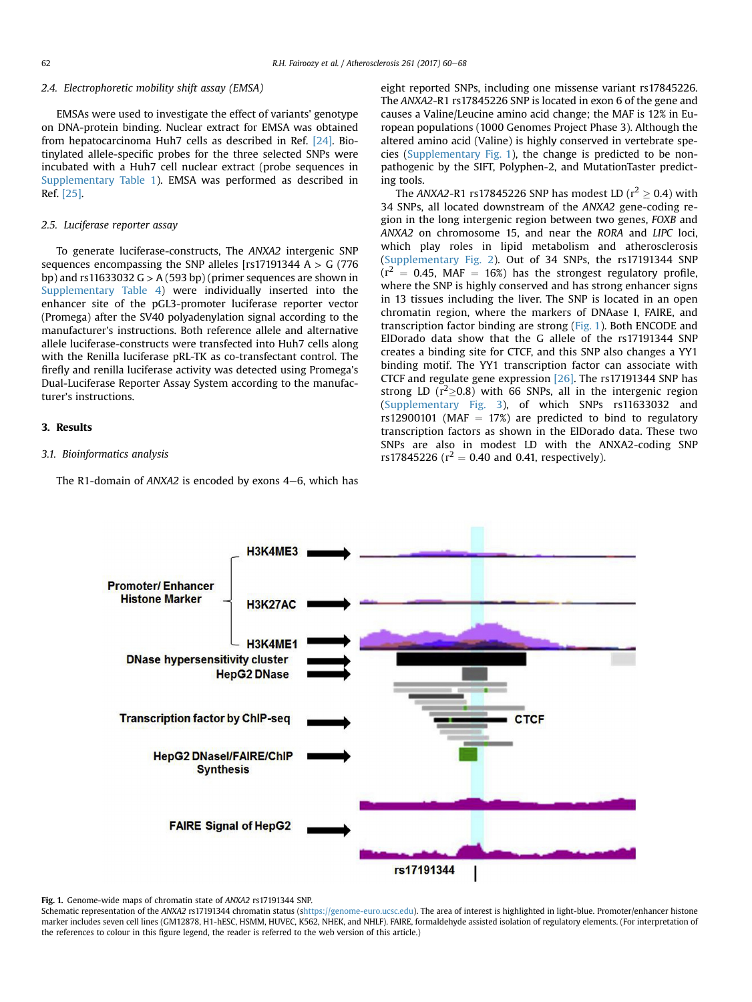## 2.4. Electrophoretic mobility shift assay (EMSA)

EMSAs were used to investigate the effect of variants' genotype on DNA-protein binding. Nuclear extract for EMSA was obtained from hepatocarcinoma Huh7 cells as described in Ref. [\[24\]](#page-7-0). Biotinylated allele-specific probes for the three selected SNPs were incubated with a Huh7 cell nuclear extract (probe sequences in Supplementary Table 1). EMSA was performed as described in Ref. [\[25\]](#page-7-0).

## 2.5. Luciferase reporter assay

To generate luciferase-constructs, The ANXA2 intergenic SNP sequences encompassing the SNP alleles [rs17191344 A  $>$  G (776 bp) and rs11633032 G > A (593 bp) (primer sequences are shown in Supplementary Table 4) were individually inserted into the enhancer site of the pGL3-promoter luciferase reporter vector (Promega) after the SV40 polyadenylation signal according to the manufacturer's instructions. Both reference allele and alternative allele luciferase-constructs were transfected into Huh7 cells along with the Renilla luciferase pRL-TK as co-transfectant control. The firefly and renilla luciferase activity was detected using Promega's Dual-Luciferase Reporter Assay System according to the manufacturer's instructions.

# 3. Results

## 3.1. Bioinformatics analysis

The R1-domain of  $ANXA2$  is encoded by exons  $4-6$ , which has

eight reported SNPs, including one missense variant rs17845226. The ANXA2-R1 rs17845226 SNP is located in exon 6 of the gene and causes a Valine/Leucine amino acid change; the MAF is 12% in European populations (1000 Genomes Project Phase 3). Although the altered amino acid (Valine) is highly conserved in vertebrate species (Supplementary Fig. 1), the change is predicted to be nonpathogenic by the SIFT, Polyphen-2, and MutationTaster predicting tools.

The ANXA2-R1 rs17845226 SNP has modest LD ( $r^2 > 0.4$ ) with 34 SNPs, all located downstream of the ANXA2 gene-coding region in the long intergenic region between two genes, FOXB and ANXA2 on chromosome 15, and near the RORA and LIPC loci, which play roles in lipid metabolism and atherosclerosis (Supplementary Fig. 2). Out of 34 SNPs, the rs17191344 SNP  $(r^2 = 0.45, MAF = 16%)$  has the strongest regulatory profile, where the SNP is highly conserved and has strong enhancer signs in 13 tissues including the liver. The SNP is located in an open chromatin region, where the markers of DNAase I, FAIRE, and transcription factor binding are strong (Fig. 1). Both ENCODE and ElDorado data show that the G allele of the rs17191344 SNP creates a binding site for CTCF, and this SNP also changes a YY1 binding motif. The YY1 transcription factor can associate with CTCF and regulate gene expression [\[26\].](#page-7-0) The rs17191344 SNP has strong LD ( $r^2 \ge 0.8$ ) with 66 SNPs, all in the intergenic region (Supplementary Fig. 3), of which SNPs rs11633032 and rs12900101 (MAF  $=$  17%) are predicted to bind to regulatory transcription factors as shown in the ElDorado data. These two SNPs are also in modest LD with the ANXA2-coding SNP rs17845226 ( $r^2 = 0.40$  and 0.41, respectively).



Fig. 1. Genome-wide maps of chromatin state of ANXA2 rs17191344 SNP.

Schematic representation of the ANXA2 rs17191344 chromatin status ([shttps://genome-euro.ucsc.edu\)](https://genome-euro.ucsc.edu). The area of interest is highlighted in light-blue. Promoter/enhancer histone marker includes seven cell lines (GM12878, H1-hESC, HSMM, HUVEC, K562, NHEK, and NHLF). FAIRE, formaldehyde assisted isolation of regulatory elements. (For interpretation of the references to colour in this figure legend, the reader is referred to the web version of this article.)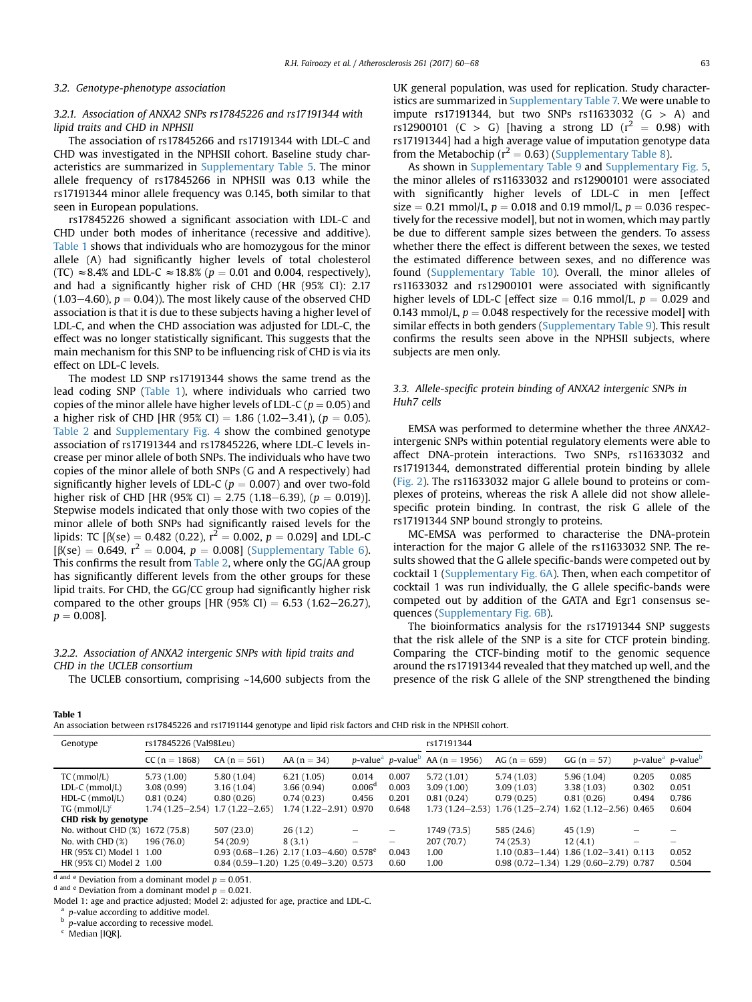#### 3.2. Genotype-phenotype association

# 3.2.1. Association of ANXA2 SNPs rs17845226 and rs17191344 with lipid traits and CHD in NPHSII

The association of rs17845266 and rs17191344 with LDL-C and CHD was investigated in the NPHSII cohort. Baseline study characteristics are summarized in Supplementary Table 5. The minor allele frequency of rs17845266 in NPHSII was 0.13 while the rs17191344 minor allele frequency was 0.145, both similar to that seen in European populations.

rs17845226 showed a significant association with LDL-C and CHD under both modes of inheritance (recessive and additive). Table 1 shows that individuals who are homozygous for the minor allele (A) had significantly higher levels of total cholesterol (TC)  $\approx$  8.4% and LDL-C  $\approx$  18.8% (p = 0.01 and 0.004, respectively), and had a significantly higher risk of CHD (HR (95% CI): 2.17  $(1.03-4.60)$ ,  $p = 0.04$ ). The most likely cause of the observed CHD association is that it is due to these subjects having a higher level of LDL-C, and when the CHD association was adjusted for LDL-C, the effect was no longer statistically significant. This suggests that the main mechanism for this SNP to be influencing risk of CHD is via its effect on LDL-C levels.

The modest LD SNP rs17191344 shows the same trend as the lead coding SNP (Table 1), where individuals who carried two copies of the minor allele have higher levels of LDL-C ( $p = 0.05$ ) and a higher risk of CHD [HR (95% CI) = 1.86 (1.02-3.41), ( $p = 0.05$ ). [Table 2](#page-4-0) and Supplementary Fig. 4 show the combined genotype association of rs17191344 and rs17845226, where LDL-C levels increase per minor allele of both SNPs. The individuals who have two copies of the minor allele of both SNPs (G and A respectively) had significantly higher levels of LDL-C ( $p = 0.007$ ) and over two-fold higher risk of CHD [HR (95% CI) = 2.75 (1.18–6.39), ( $p = 0.019$ )]. Stepwise models indicated that only those with two copies of the minor allele of both SNPs had significantly raised levels for the lipids: TC  $\left[\beta$ (se) = 0.482 (0.22), r<sup>2</sup> = 0.002, p = 0.029] and LDL-C  $[\beta$ (se) = 0.649,  $r^2$  = 0.004, p = 0.008] (Supplementary Table 6). This confirms the result from [Table 2,](#page-4-0) where only the GG/AA group has significantly different levels from the other groups for these lipid traits. For CHD, the GG/CC group had significantly higher risk compared to the other groups [HR (95% CI) = 6.53 (1.62-26.27),  $p = 0.008$ ].

# 3.2.2. Association of ANXA2 intergenic SNPs with lipid traits and CHD in the UCLEB consortium

The UCLEB consortium, comprising ~14,600 subjects from the

UK general population, was used for replication. Study characteristics are summarized in Supplementary Table 7. We were unable to impute rs17191344, but two SNPs rs11633032  $(G > A)$  and rs12900101 (C > G) [having a strong LD ( $r^2 = 0.98$ ) with rs17191344] had a high average value of imputation genotype data from the Metabochip ( $r^2 = 0.63$ ) (Supplementary Table 8).

As shown in Supplementary Table 9 and Supplementary Fig. 5, the minor alleles of rs11633032 and rs12900101 were associated with significantly higher levels of LDL-C in men [effect size = 0.21 mmol/L,  $p = 0.018$  and 0.19 mmol/L,  $p = 0.036$  respectively for the recessive model], but not in women, which may partly be due to different sample sizes between the genders. To assess whether there the effect is different between the sexes, we tested the estimated difference between sexes, and no difference was found (Supplementary Table 10). Overall, the minor alleles of rs11633032 and rs12900101 were associated with significantly higher levels of LDL-C [effect size  $= 0.16$  mmol/L,  $p = 0.029$  and 0.143 mmol/L,  $p = 0.048$  respectively for the recessive model] with similar effects in both genders (Supplementary Table 9). This result confirms the results seen above in the NPHSII subjects, where subjects are men only.

# 3.3. Allele-specific protein binding of ANXA2 intergenic SNPs in Huh7 cells

EMSA was performed to determine whether the three ANXA2 intergenic SNPs within potential regulatory elements were able to affect DNA-protein interactions. Two SNPs, rs11633032 and rs17191344, demonstrated differential protein binding by allele ([Fig. 2\)](#page-4-0). The rs11633032 major G allele bound to proteins or complexes of proteins, whereas the risk A allele did not show allelespecific protein binding. In contrast, the risk G allele of the rs17191344 SNP bound strongly to proteins.

MC-EMSA was performed to characterise the DNA-protein interaction for the major G allele of the rs11633032 SNP. The results showed that the G allele specific-bands were competed out by cocktail 1 (Supplementary Fig. 6A). Then, when each competitor of cocktail 1 was run individually, the G allele specific-bands were competed out by addition of the GATA and Egr1 consensus sequences (Supplementary Fig. 6B).

The bioinformatics analysis for the rs17191344 SNP suggests that the risk allele of the SNP is a site for CTCF protein binding. Comparing the CTCF-binding motif to the genomic sequence around the rs17191344 revealed that they matched up well, and the presence of the risk G allele of the SNP strengthened the binding

| Table 1                                                                                                            |  |
|--------------------------------------------------------------------------------------------------------------------|--|
| An association between rs17845226 and rs17191144 genotype and lipid risk factors and CHD risk in the NPHSII cohort |  |

| Genotype                        | rs17845226 (Val98Leu)            |                |                                                          |                    |                          | rs17191344                                              |                     |                                            |       |                                                           |
|---------------------------------|----------------------------------|----------------|----------------------------------------------------------|--------------------|--------------------------|---------------------------------------------------------|---------------------|--------------------------------------------|-------|-----------------------------------------------------------|
|                                 | $CC (n = 1868)$                  | $CA (n = 561)$ | $AA(n = 34)$                                             |                    |                          | p-value <sup>a</sup> p-value <sup>b</sup> AA (n = 1956) | AG $(n = 659)$      | $GG (n = 57)$                              |       | <i>p</i> -value <sup>a</sup> <i>p</i> -value <sup>b</sup> |
| $TC \, (mmol/L)$                | 5.73(1.00)                       | 5.80(1.04)     | 6.21(1.05)                                               | 0.014              | 0.007                    | 5.72(1.01)                                              | 5.74(1.03)          | 5.96(1.04)                                 | 0.205 | 0.085                                                     |
| $LDL-C$ ( $mmol/L$ )            | 3.08(0.99)                       | 3.16(1.04)     | 3.66(0.94)                                               | 0.006 <sup>d</sup> | 0.003                    | 3.09(1.00)                                              | 3.09(1.03)          | 3.38(1.03)                                 | 0.302 | 0.051                                                     |
| $HDL-C$ (mmol/L)                | 0.81(0.24)                       | 0.80(0.26)     | 0.74(0.23)                                               | 0.456              | 0.201                    | 0.81(0.24)                                              | 0.79(0.25)          | 0.81(0.26)                                 | 0.494 | 0.786                                                     |
| TG $(mmol/L)^c$                 | 1.74 (1.25-2.54) 1.7 (1.22-2.65) |                | $1.74(1.22 - 2.91)$ 0.970                                |                    | 0.648                    | $1.73(1.24 - 2.53)$                                     | $1.76(1.25 - 2.74)$ | $1.62(1.12 - 2.56)$ 0.465                  |       | 0.604                                                     |
| CHD risk by genotype            |                                  |                |                                                          |                    |                          |                                                         |                     |                                            |       |                                                           |
| No. without CHD (%) 1672 (75.8) |                                  | 507 (23.0)     | 26(1.2)                                                  | -                  | -                        | 1749 (73.5)                                             | 585 (24.6)          | 45(1.9)                                    |       |                                                           |
| No. with CHD (%)                | 196 (76.0)                       | 54 (20.9)      | 8(3.1)                                                   | -                  | $\overline{\phantom{0}}$ | 207 (70.7)                                              | 74 (25.3)           | 12(4.1)                                    |       |                                                           |
| HR (95% CI) Model 1 1.00        |                                  |                | 0.93 $(0.68-1.26)$ 2.17 $(1.03-4.60)$ 0.578 <sup>e</sup> |                    | 0.043                    | 1.00                                                    | $1.10(0.83 - 1.44)$ | $1.86(1.02 - 3.41)$ 0.113                  |       | 0.052                                                     |
| HR (95% CI) Model 2 1.00        |                                  |                | $0.84(0.59-1.20)$ 1.25 $(0.49-3.20)$ 0.573               |                    | 0.60                     | 1.00                                                    |                     | $0.98(0.72-1.34)$ 1.29 $(0.60-2.79)$ 0.787 |       | 0.504                                                     |

d and e Deviation from a dominant model  $p = 0.051$ .<br>d and e Deviation from a dominant model  $p = 0.021$ .

Model 1: age and practice adjusted; Model 2: adjusted for age, practice and LDL-C.

 $a$  *p*-value according to additive model.

p-value according to recessive model.

Median [IQR].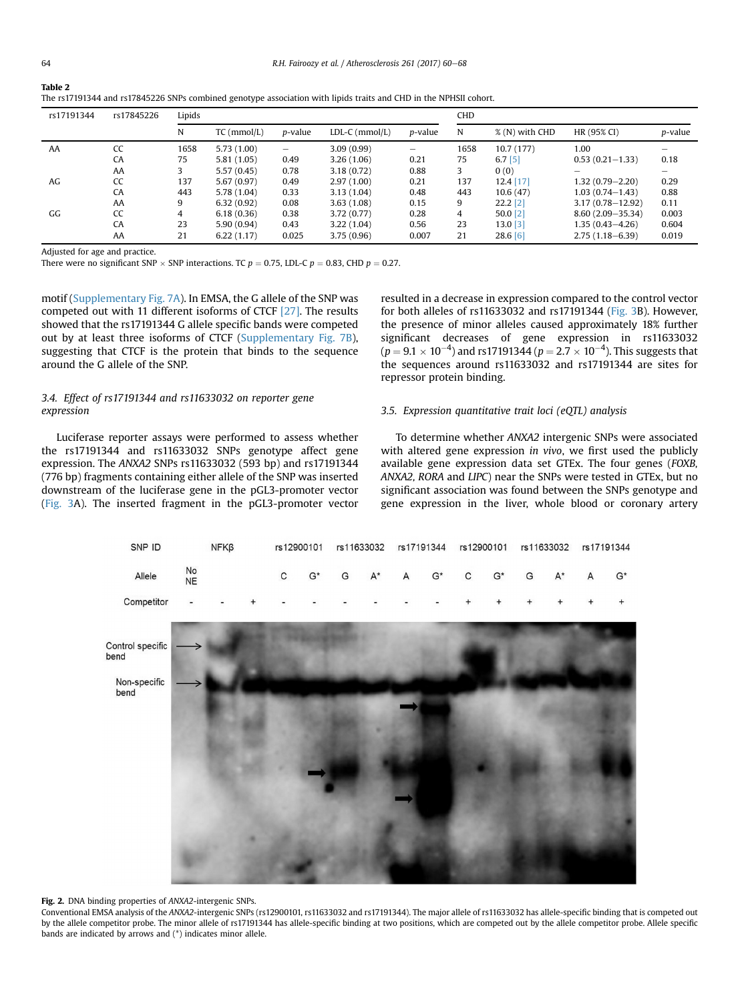| The FST7191344 and FST7845226 SNPS combined genotype association with lipids traits and CHD in the NPHSII conort. |            |        |               |                 |                      |                 |      |                |                      |         |
|-------------------------------------------------------------------------------------------------------------------|------------|--------|---------------|-----------------|----------------------|-----------------|------|----------------|----------------------|---------|
| rs17191344                                                                                                        | rs17845226 | Lipids |               |                 |                      | CHD             |      |                |                      |         |
|                                                                                                                   |            | N      | $TC$ (mmol/L) | <i>p</i> -value | $LDL-C$ ( $mmol/L$ ) | <i>p</i> -value | N    | % (N) with CHD | HR (95% CI)          | p-value |
| AA                                                                                                                | CC         | 1658   | 5.73(1.00)    | -               | 3.09(0.99)           |                 | 1658 | 10.7(177)      | 1.00                 |         |
|                                                                                                                   | CA         | 75     | 5.81(1.05)    | 0.49            | 3.26(1.06)           | 0.21            | 75   | $6.7$ [5]      | $0.53(0.21 - 1.33)$  | 0.18    |
|                                                                                                                   | AA         |        | 5.57(0.45)    | 0.78            | 3.18(0.72)           | 0.88            |      | 0(0)           |                      |         |
| AG                                                                                                                | CC         | 137    | 5.67(0.97)    | 0.49            | 2.97(1.00)           | 0.21            | 137  | $12.4$ [17]    | $1.32(0.79 - 2.20)$  | 0.29    |
|                                                                                                                   | CA         | 443    | 5.78 (1.04)   | 0.33            | 3.13(1.04)           | 0.48            | 443  | 10.6(47)       | $1.03(0.74 - 1.43)$  | 0.88    |
|                                                                                                                   | AA         | 9      | 6.32(0.92)    | 0.08            | 3.63(1.08)           | 0.15            | 9    | $22.2$ [2]     | $3.17(0.78 - 12.92)$ | 0.11    |
| GG                                                                                                                | CC         | 4      | 6.18(0.36)    | 0.38            | 3.72(0.77)           | 0.28            | 4    | 50.0 [2]       | $8.60(2.09 - 35.34)$ | 0.003   |
|                                                                                                                   | CA         | 23     | 5.90(0.94)    | 0.43            | 3.22(1.04)           | 0.56            | 23   | 13.0 [3]       | $1.35(0.43 - 4.26)$  | 0.604   |

AA 21 6.22 (1.17) 0.025 3.75 (0.96) 0.007 21 28.6 [\[6\]](#page-7-0) 2.75 (1.18–6.39) 0.019

<span id="page-4-0"></span>

| Table 2                                                                                                           |
|-------------------------------------------------------------------------------------------------------------------|
| The rs17191344 and rs17845226 SNPs combined genotype association with lipids traits and CHD in the NPHSII cohort. |

Adjusted for age and practice.

There were no significant SNP  $\times$  SNP interactions. TC  $p = 0.75$ , LDL-C  $p = 0.83$ , CHD  $p = 0.27$ .

motif (Supplementary Fig. 7A). In EMSA, the G allele of the SNP was competed out with 11 different isoforms of CTCF [\[27\]](#page-7-0). The results showed that the rs17191344 G allele specific bands were competed out by at least three isoforms of CTCF (Supplementary Fig. 7B), suggesting that CTCF is the protein that binds to the sequence around the G allele of the SNP.

# 3.4. Effect of rs17191344 and rs11633032 on reporter gene expression

Luciferase reporter assays were performed to assess whether the rs17191344 and rs11633032 SNPs genotype affect gene expression. The ANXA2 SNPs rs11633032 (593 bp) and rs17191344 (776 bp) fragments containing either allele of the SNP was inserted downstream of the luciferase gene in the pGL3-promoter vector ([Fig. 3](#page-5-0)A). The inserted fragment in the pGL3-promoter vector resulted in a decrease in expression compared to the control vector for both alleles of rs11633032 and rs17191344 [\(Fig. 3B](#page-5-0)). However, the presence of minor alleles caused approximately 18% further significant decreases of gene expression in rs11633032  $(p=9.1\times10^{-4})$  and rs17191344 ( $p=2.7\times10^{-4}$ ). This suggests that the sequences around rs11633032 and rs17191344 are sites for repressor protein binding.

# 3.5. Expression quantitative trait loci (eQTL) analysis

To determine whether ANXA2 intergenic SNPs were associated with altered gene expression in vivo, we first used the publicly available gene expression data set GTEx. The four genes (FOXB, ANXA2, RORA and LIPC) near the SNPs were tested in GTEx, but no significant association was found between the SNPs genotype and gene expression in the liver, whole blood or coronary artery



Fig. 2. DNA binding properties of ANXA2-intergenic SNPs.

Conventional EMSA analysis of the ANXA2-intergenic SNPs (rs12900101, rs11633032 and rs17191344). The major allele of rs11633032 has allele-specific binding that is competed out by the allele competitor probe. The minor allele of rs17191344 has allele-specific binding at two positions, which are competed out by the allele competitor probe. Allele specific bands are indicated by arrows and (\*) indicates minor allele.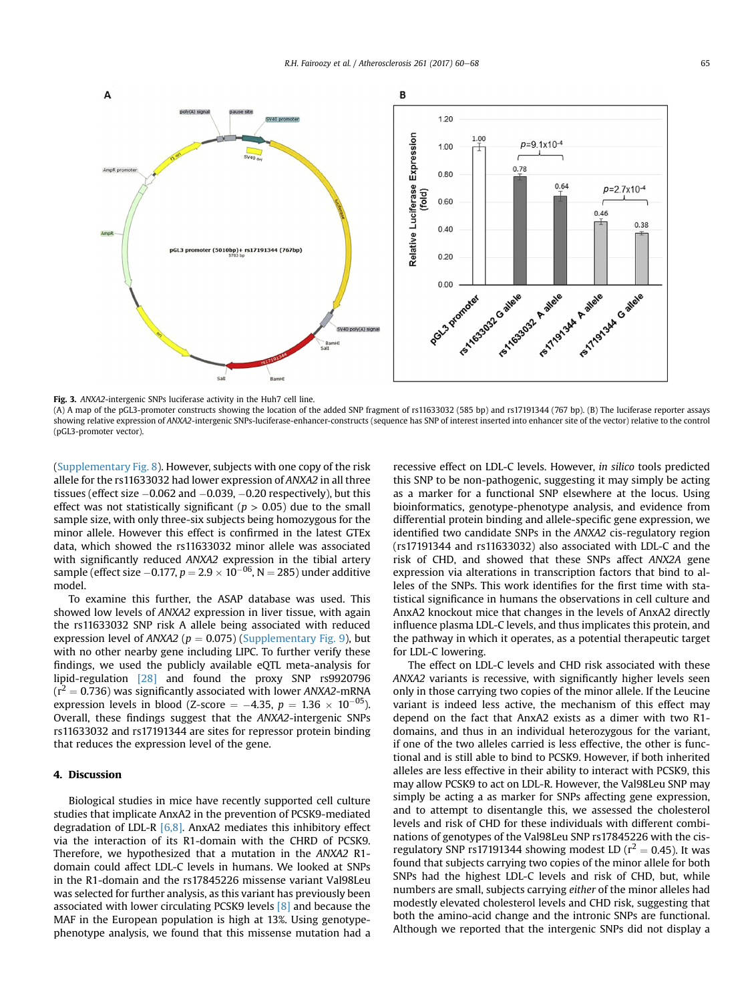<span id="page-5-0"></span>

Fig. 3. ANXA2-intergenic SNPs luciferase activity in the Huh7 cell line.

(A) A map of the pGL3-promoter constructs showing the location of the added SNP fragment of rs11633032 (585 bp) and rs17191344 (767 bp). (B) The luciferase reporter assays showing relative expression of ANXA2-intergenic SNPs-luciferase-enhancer-constructs (sequence has SNP of interest inserted into enhancer site of the vector) relative to the control (pGL3-promoter vector).

(Supplementary Fig. 8). However, subjects with one copy of the risk allele for the rs11633032 had lower expression of ANXA2 in all three tissues (effect size  $-0.062$  and  $-0.039$ ,  $-0.20$  respectively), but this effect was not statistically significant ( $p > 0.05$ ) due to the small sample size, with only three-six subjects being homozygous for the minor allele. However this effect is confirmed in the latest GTEx data, which showed the rs11633032 minor allele was associated with significantly reduced ANXA2 expression in the tibial artery sample (effect size  $-0.177$ ,  $p = 2.9 \times 10^{-06}$ , N  $= 285$ ) under additive model.

To examine this further, the ASAP database was used. This showed low levels of ANXA2 expression in liver tissue, with again the rs11633032 SNP risk A allele being associated with reduced expression level of ANXA2 ( $p = 0.075$ ) (Supplementary Fig. 9), but with no other nearby gene including LIPC. To further verify these findings, we used the publicly available eQTL meta-analysis for lipid-regulation [\[28\]](#page-8-0) and found the proxy SNP rs9920796  $(r^2 = 0.736)$  was significantly associated with lower ANXA2-mRNA expression levels in blood (Z-score  $=$   $-4.35, p = 1.36 \times 10^{-05}$ ). Overall, these findings suggest that the ANXA2-intergenic SNPs rs11633032 and rs17191344 are sites for repressor protein binding that reduces the expression level of the gene.

# 4. Discussion

Biological studies in mice have recently supported cell culture studies that implicate AnxA2 in the prevention of PCSK9-mediated degradation of LDL-R [\[6,8\]](#page-7-0). AnxA2 mediates this inhibitory effect via the interaction of its R1-domain with the CHRD of PCSK9. Therefore, we hypothesized that a mutation in the ANXA2 R1 domain could affect LDL-C levels in humans. We looked at SNPs in the R1-domain and the rs17845226 missense variant Val98Leu was selected for further analysis, as this variant has previously been associated with lower circulating PCSK9 levels [\[8\]](#page-7-0) and because the MAF in the European population is high at 13%. Using genotypephenotype analysis, we found that this missense mutation had a recessive effect on LDL-C levels. However, in silico tools predicted this SNP to be non-pathogenic, suggesting it may simply be acting as a marker for a functional SNP elsewhere at the locus. Using bioinformatics, genotype-phenotype analysis, and evidence from differential protein binding and allele-specific gene expression, we identified two candidate SNPs in the ANXA2 cis-regulatory region (rs17191344 and rs11633032) also associated with LDL-C and the risk of CHD, and showed that these SNPs affect ANX2A gene expression via alterations in transcription factors that bind to alleles of the SNPs. This work identifies for the first time with statistical significance in humans the observations in cell culture and AnxA2 knockout mice that changes in the levels of AnxA2 directly influence plasma LDL-C levels, and thus implicates this protein, and the pathway in which it operates, as a potential therapeutic target for LDL-C lowering.

The effect on LDL-C levels and CHD risk associated with these ANXA2 variants is recessive, with significantly higher levels seen only in those carrying two copies of the minor allele. If the Leucine variant is indeed less active, the mechanism of this effect may depend on the fact that AnxA2 exists as a dimer with two R1 domains, and thus in an individual heterozygous for the variant, if one of the two alleles carried is less effective, the other is functional and is still able to bind to PCSK9. However, if both inherited alleles are less effective in their ability to interact with PCSK9, this may allow PCSK9 to act on LDL-R. However, the Val98Leu SNP may simply be acting a as marker for SNPs affecting gene expression, and to attempt to disentangle this, we assessed the cholesterol levels and risk of CHD for these individuals with different combinations of genotypes of the Val98Leu SNP rs17845226 with the cisregulatory SNP rs17191344 showing modest LD ( $r^2 = 0.45$ ). It was found that subjects carrying two copies of the minor allele for both SNPs had the highest LDL-C levels and risk of CHD, but, while numbers are small, subjects carrying either of the minor alleles had modestly elevated cholesterol levels and CHD risk, suggesting that both the amino-acid change and the intronic SNPs are functional. Although we reported that the intergenic SNPs did not display a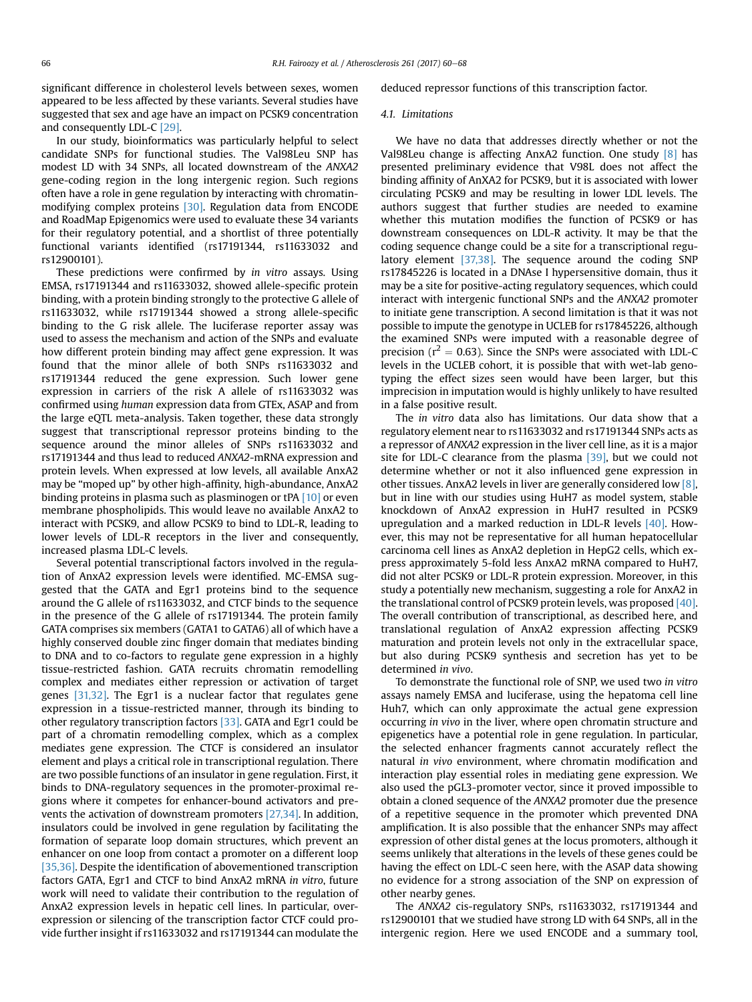significant difference in cholesterol levels between sexes, women appeared to be less affected by these variants. Several studies have suggested that sex and age have an impact on PCSK9 concentration and consequently LDL-C [\[29\]](#page-8-0).

In our study, bioinformatics was particularly helpful to select candidate SNPs for functional studies. The Val98Leu SNP has modest LD with 34 SNPs, all located downstream of the ANXA2 gene-coding region in the long intergenic region. Such regions often have a role in gene regulation by interacting with chromatinmodifying complex proteins [\[30\].](#page-8-0) Regulation data from ENCODE and RoadMap Epigenomics were used to evaluate these 34 variants for their regulatory potential, and a shortlist of three potentially functional variants identified (rs17191344, rs11633032 and rs12900101).

These predictions were confirmed by in vitro assays. Using EMSA, rs17191344 and rs11633032, showed allele-specific protein binding, with a protein binding strongly to the protective G allele of rs11633032, while rs17191344 showed a strong allele-specific binding to the G risk allele. The luciferase reporter assay was used to assess the mechanism and action of the SNPs and evaluate how different protein binding may affect gene expression. It was found that the minor allele of both SNPs rs11633032 and rs17191344 reduced the gene expression. Such lower gene expression in carriers of the risk A allele of rs11633032 was confirmed using human expression data from GTEx, ASAP and from the large eQTL meta-analysis. Taken together, these data strongly suggest that transcriptional repressor proteins binding to the sequence around the minor alleles of SNPs rs11633032 and rs17191344 and thus lead to reduced ANXA2-mRNA expression and protein levels. When expressed at low levels, all available AnxA2 may be "moped up" by other high-affinity, high-abundance, AnxA2 binding proteins in plasma such as plasminogen or tPA [\[10\]](#page-7-0) or even membrane phospholipids. This would leave no available AnxA2 to interact with PCSK9, and allow PCSK9 to bind to LDL-R, leading to lower levels of LDL-R receptors in the liver and consequently, increased plasma LDL-C levels.

Several potential transcriptional factors involved in the regulation of AnxA2 expression levels were identified. MC-EMSA suggested that the GATA and Egr1 proteins bind to the sequence around the G allele of rs11633032, and CTCF binds to the sequence in the presence of the G allele of rs17191344. The protein family GATA comprises six members (GATA1 to GATA6) all of which have a highly conserved double zinc finger domain that mediates binding to DNA and to co-factors to regulate gene expression in a highly tissue-restricted fashion. GATA recruits chromatin remodelling complex and mediates either repression or activation of target genes [\[31,32\]](#page-8-0). The Egr1 is a nuclear factor that regulates gene expression in a tissue-restricted manner, through its binding to other regulatory transcription factors [\[33\].](#page-8-0) GATA and Egr1 could be part of a chromatin remodelling complex, which as a complex mediates gene expression. The CTCF is considered an insulator element and plays a critical role in transcriptional regulation. There are two possible functions of an insulator in gene regulation. First, it binds to DNA-regulatory sequences in the promoter-proximal regions where it competes for enhancer-bound activators and prevents the activation of downstream promoters [\[27,34\]](#page-7-0). In addition, insulators could be involved in gene regulation by facilitating the formation of separate loop domain structures, which prevent an enhancer on one loop from contact a promoter on a different loop [\[35,36\]](#page-8-0). Despite the identification of abovementioned transcription factors GATA, Egr1 and CTCF to bind AnxA2 mRNA in vitro, future work will need to validate their contribution to the regulation of AnxA2 expression levels in hepatic cell lines. In particular, overexpression or silencing of the transcription factor CTCF could provide further insight if rs11633032 and rs17191344 can modulate the deduced repressor functions of this transcription factor.

#### 4.1. Limitations

We have no data that addresses directly whether or not the Val98Leu change is affecting AnxA2 function. One study [\[8\]](#page-7-0) has presented preliminary evidence that V98L does not affect the binding affinity of AnXA2 for PCSK9, but it is associated with lower circulating PCSK9 and may be resulting in lower LDL levels. The authors suggest that further studies are needed to examine whether this mutation modifies the function of PCSK9 or has downstream consequences on LDL-R activity. It may be that the coding sequence change could be a site for a transcriptional regulatory element [\[37,38\].](#page-8-0) The sequence around the coding SNP rs17845226 is located in a DNAse I hypersensitive domain, thus it may be a site for positive-acting regulatory sequences, which could interact with intergenic functional SNPs and the ANXA2 promoter to initiate gene transcription. A second limitation is that it was not possible to impute the genotype in UCLEB for rs17845226, although the examined SNPs were imputed with a reasonable degree of precision ( $r^2 = 0.63$ ). Since the SNPs were associated with LDL-C levels in the UCLEB cohort, it is possible that with wet-lab genotyping the effect sizes seen would have been larger, but this imprecision in imputation would is highly unlikely to have resulted in a false positive result.

The in vitro data also has limitations. Our data show that a regulatory element near to rs11633032 and rs17191344 SNPs acts as a repressor of ANXA2 expression in the liver cell line, as it is a major site for LDL-C clearance from the plasma [\[39\]](#page-8-0), but we could not determine whether or not it also influenced gene expression in other tissues. AnxA2 levels in liver are generally considered low [\[8\],](#page-7-0) but in line with our studies using HuH7 as model system, stable knockdown of AnxA2 expression in HuH7 resulted in PCSK9 upregulation and a marked reduction in LDL-R levels [\[40\].](#page-8-0) However, this may not be representative for all human hepatocellular carcinoma cell lines as AnxA2 depletion in HepG2 cells, which express approximately 5-fold less AnxA2 mRNA compared to HuH7, did not alter PCSK9 or LDL-R protein expression. Moreover, in this study a potentially new mechanism, suggesting a role for AnxA2 in the translational control of PCSK9 protein levels, was proposed [\[40\].](#page-8-0) The overall contribution of transcriptional, as described here, and translational regulation of AnxA2 expression affecting PCSK9 maturation and protein levels not only in the extracellular space, but also during PCSK9 synthesis and secretion has yet to be determined in vivo.

To demonstrate the functional role of SNP, we used two in vitro assays namely EMSA and luciferase, using the hepatoma cell line Huh7, which can only approximate the actual gene expression occurring in vivo in the liver, where open chromatin structure and epigenetics have a potential role in gene regulation. In particular, the selected enhancer fragments cannot accurately reflect the natural in vivo environment, where chromatin modification and interaction play essential roles in mediating gene expression. We also used the pGL3-promoter vector, since it proved impossible to obtain a cloned sequence of the ANXA2 promoter due the presence of a repetitive sequence in the promoter which prevented DNA amplification. It is also possible that the enhancer SNPs may affect expression of other distal genes at the locus promoters, although it seems unlikely that alterations in the levels of these genes could be having the effect on LDL-C seen here, with the ASAP data showing no evidence for a strong association of the SNP on expression of other nearby genes.

The ANXA2 cis-regulatory SNPs, rs11633032, rs17191344 and rs12900101 that we studied have strong LD with 64 SNPs, all in the intergenic region. Here we used ENCODE and a summary tool,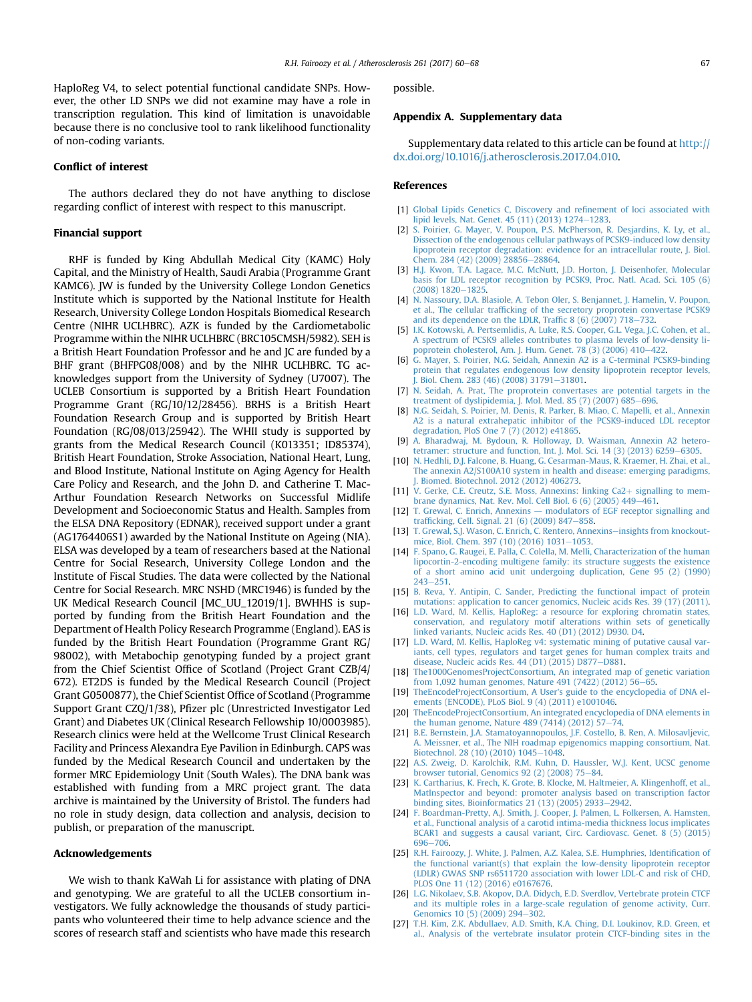<span id="page-7-0"></span>HaploReg V4, to select potential functional candidate SNPs. However, the other LD SNPs we did not examine may have a role in transcription regulation. This kind of limitation is unavoidable because there is no conclusive tool to rank likelihood functionality of non-coding variants.

## Conflict of interest

The authors declared they do not have anything to disclose regarding conflict of interest with respect to this manuscript.

## Financial support

RHF is funded by King Abdullah Medical City (KAMC) Holy Capital, and the Ministry of Health, Saudi Arabia (Programme Grant KAMC6). JW is funded by the University College London Genetics Institute which is supported by the National Institute for Health Research, University College London Hospitals Biomedical Research Centre (NIHR UCLHBRC). AZK is funded by the Cardiometabolic Programme within the NIHR UCLHBRC (BRC105CMSH/5982). SEH is a British Heart Foundation Professor and he and JC are funded by a BHF grant (BHFPG08/008) and by the NIHR UCLHBRC. TG acknowledges support from the University of Sydney (U7007). The UCLEB Consortium is supported by a British Heart Foundation Programme Grant (RG/10/12/28456). BRHS is a British Heart Foundation Research Group and is supported by British Heart Foundation (RG/08/013/25942). The WHII study is supported by grants from the Medical Research Council (K013351; ID85374), British Heart Foundation, Stroke Association, National Heart, Lung, and Blood Institute, National Institute on Aging Agency for Health Care Policy and Research, and the John D. and Catherine T. Mac-Arthur Foundation Research Networks on Successful Midlife Development and Socioeconomic Status and Health. Samples from the ELSA DNA Repository (EDNAR), received support under a grant (AG1764406S1) awarded by the National Institute on Ageing (NIA). ELSA was developed by a team of researchers based at the National Centre for Social Research, University College London and the Institute of Fiscal Studies. The data were collected by the National Centre for Social Research. MRC NSHD (MRC1946) is funded by the UK Medical Research Council [MC\_UU\_12019/1]. BWHHS is supported by funding from the British Heart Foundation and the Department of Health Policy Research Programme (England). EAS is funded by the British Heart Foundation (Programme Grant RG/ 98002), with Metabochip genotyping funded by a project grant from the Chief Scientist Office of Scotland (Project Grant CZB/4/ 672). ET2DS is funded by the Medical Research Council (Project Grant G0500877), the Chief Scientist Office of Scotland (Programme Support Grant CZQ/1/38), Pfizer plc (Unrestricted Investigator Led Grant) and Diabetes UK (Clinical Research Fellowship 10/0003985). Research clinics were held at the Wellcome Trust Clinical Research Facility and Princess Alexandra Eye Pavilion in Edinburgh. CAPS was funded by the Medical Research Council and undertaken by the former MRC Epidemiology Unit (South Wales). The DNA bank was established with funding from a MRC project grant. The data archive is maintained by the University of Bristol. The funders had no role in study design, data collection and analysis, decision to publish, or preparation of the manuscript.

#### Acknowledgements

We wish to thank KaWah Li for assistance with plating of DNA and genotyping. We are grateful to all the UCLEB consortium investigators. We fully acknowledge the thousands of study participants who volunteered their time to help advance science and the scores of research staff and scientists who have made this research possible.

#### Appendix A. Supplementary data

Supplementary data related to this article can be found at [http://](http://dx.doi.org/10.1016/j.atherosclerosis.2017.04.010) [dx.doi.org/10.1016/j.atherosclerosis.2017.04.010.](http://dx.doi.org/10.1016/j.atherosclerosis.2017.04.010)

#### References

- [1] [Global Lipids Genetics C, Discovery and re](http://refhub.elsevier.com/S0021-9150(17)30169-7/sref1)finement of loci associated with [lipid levels, Nat. Genet. 45 \(11\) \(2013\) 1274](http://refhub.elsevier.com/S0021-9150(17)30169-7/sref1)-[1283](http://refhub.elsevier.com/S0021-9150(17)30169-7/sref1).
- [2] [S. Poirier, G. Mayer, V. Poupon, P.S. McPherson, R. Desjardins, K. Ly, et al.,](http://refhub.elsevier.com/S0021-9150(17)30169-7/sref2) [Dissection of the endogenous cellular pathways of PCSK9-induced low density](http://refhub.elsevier.com/S0021-9150(17)30169-7/sref2) [lipoprotein receptor degradation: evidence for an intracellular route, J. Biol.](http://refhub.elsevier.com/S0021-9150(17)30169-7/sref2) [Chem. 284 \(42\) \(2009\) 28856](http://refhub.elsevier.com/S0021-9150(17)30169-7/sref2)-[28864.](http://refhub.elsevier.com/S0021-9150(17)30169-7/sref2)
- [3] [H.J. Kwon, T.A. Lagace, M.C. McNutt, J.D. Horton, J. Deisenhofer, Molecular](http://refhub.elsevier.com/S0021-9150(17)30169-7/sref3) [basis for LDL receptor recognition by PCSK9, Proc. Natl. Acad. Sci. 105 \(6\)](http://refhub.elsevier.com/S0021-9150(17)30169-7/sref3)  $(2008)$  1820-[1825.](http://refhub.elsevier.com/S0021-9150(17)30169-7/sref3)
- [4] [N. Nassoury, D.A. Blasiole, A. Tebon Oler, S. Benjannet, J. Hamelin, V. Poupon,](http://refhub.elsevier.com/S0021-9150(17)30169-7/sref4) et al., The cellular traffi[cking of the secretory proprotein convertase PCSK9](http://refhub.elsevier.com/S0021-9150(17)30169-7/sref4) [and its dependence on the LDLR, Traf](http://refhub.elsevier.com/S0021-9150(17)30169-7/sref4)fic 8 (6)  $(2007)$  718-[732](http://refhub.elsevier.com/S0021-9150(17)30169-7/sref4).
- [5] [I.K. Kotowski, A. Pertsemlidis, A. Luke, R.S. Cooper, G.L. Vega, J.C. Cohen, et al.,](http://refhub.elsevier.com/S0021-9150(17)30169-7/sref5) [A spectrum of PCSK9 alleles contributes to plasma levels of low-density li](http://refhub.elsevier.com/S0021-9150(17)30169-7/sref5)poprotein cholesterol, Am. J. Hum. Genet. 78 (3) (2006)  $410-422$  $410-422$
- [6] [G. Mayer, S. Poirier, N.G. Seidah, Annexin A2 is a C-terminal PCSK9-binding](http://refhub.elsevier.com/S0021-9150(17)30169-7/sref6) [protein that regulates endogenous low density lipoprotein receptor levels,](http://refhub.elsevier.com/S0021-9150(17)30169-7/sref6) Biol. Chem. 283 (46) (2008) 31791-[31801.](http://refhub.elsevier.com/S0021-9150(17)30169-7/sref6)
- [7] [N. Seidah, A. Prat, The proprotein convertases are potential targets in the](http://refhub.elsevier.com/S0021-9150(17)30169-7/sref7) treatment of dyslipidemia, J. Mol. Med. 85  $(7)$   $(2007)$  685-[696.](http://refhub.elsevier.com/S0021-9150(17)30169-7/sref7)
- [8] [N.G. Seidah, S. Poirier, M. Denis, R. Parker, B. Miao, C. Mapelli, et al., Annexin](http://refhub.elsevier.com/S0021-9150(17)30169-7/sref8) [A2 is a natural extrahepatic inhibitor of the PCSK9-induced LDL receptor](http://refhub.elsevier.com/S0021-9150(17)30169-7/sref8) [degradation, PloS One 7 \(7\) \(2012\) e41865](http://refhub.elsevier.com/S0021-9150(17)30169-7/sref8).
- [9] [A. Bharadwaj, M. Bydoun, R. Holloway, D. Waisman, Annexin A2 hetero](http://refhub.elsevier.com/S0021-9150(17)30169-7/sref9)tetramer: structure and function, Int. J. Mol. Sci.  $14(3)(2013)$  6259-[6305.](http://refhub.elsevier.com/S0021-9150(17)30169-7/sref9)
- [10] [N. Hedhli, D.J. Falcone, B. Huang, G. Cesarman-Maus, R. Kraemer, H. Zhai, et al.,](http://refhub.elsevier.com/S0021-9150(17)30169-7/sref10) [The annexin A2/S100A10 system in health and disease: emerging paradigms,](http://refhub.elsevier.com/S0021-9150(17)30169-7/sref10) [J. Biomed. Biotechnol. 2012 \(2012\) 406273.](http://refhub.elsevier.com/S0021-9150(17)30169-7/sref10)
- [11] [V. Gerke, C.E. Creutz, S.E. Moss, Annexins: linking Ca2](http://refhub.elsevier.com/S0021-9150(17)30169-7/sref11)+ [signalling to mem](http://refhub.elsevier.com/S0021-9150(17)30169-7/sref11)brane dynamics, Nat. Rev. Mol. Cell Biol.  $6(6)(2005)$  449-[461](http://refhub.elsevier.com/S0021-9150(17)30169-7/sref11).
- [12] [T. Grewal, C. Enrich, Annexins](http://refhub.elsevier.com/S0021-9150(17)30169-7/sref12) [modulators of EGF receptor signalling and](http://refhub.elsevier.com/S0021-9150(17)30169-7/sref12) trafficking, Cell. Signal.  $21(6)(2009)$  847-[858](http://refhub.elsevier.com/S0021-9150(17)30169-7/sref12).
- [13] [T. Grewal, S.J. Wason, C. Enrich, C. Rentero, Annexins](http://refhub.elsevier.com/S0021-9150(17)30169-7/sref13)-[insights from knockout](http://refhub.elsevier.com/S0021-9150(17)30169-7/sref13)[mice, Biol. Chem. 397 \(10\) \(2016\) 1031](http://refhub.elsevier.com/S0021-9150(17)30169-7/sref13)-[1053](http://refhub.elsevier.com/S0021-9150(17)30169-7/sref13).
- [14] [F. Spano, G. Raugei, E. Palla, C. Colella, M. Melli, Characterization of the human](http://refhub.elsevier.com/S0021-9150(17)30169-7/sref14) [lipocortin-2-encoding multigene family: its structure suggests the existence](http://refhub.elsevier.com/S0021-9150(17)30169-7/sref14) [of a short amino acid unit undergoing duplication, Gene 95 \(2\) \(1990\)](http://refhub.elsevier.com/S0021-9150(17)30169-7/sref14)  $243 - 251.$  $243 - 251.$  $243 - 251.$
- [15] [B. Reva, Y. Antipin, C. Sander, Predicting the functional impact of protein](http://refhub.elsevier.com/S0021-9150(17)30169-7/sref15) [mutations: application to cancer genomics, Nucleic acids Res. 39 \(17\) \(2011\)](http://refhub.elsevier.com/S0021-9150(17)30169-7/sref15).
- [16] [L.D. Ward, M. Kellis, HaploReg: a resource for exploring chromatin states,](http://refhub.elsevier.com/S0021-9150(17)30169-7/sref16) [conservation, and regulatory motif alterations within sets of genetically](http://refhub.elsevier.com/S0021-9150(17)30169-7/sref16) [linked variants, Nucleic acids Res. 40 \(D1\) \(2012\) D930. D4.](http://refhub.elsevier.com/S0021-9150(17)30169-7/sref16)
- [17] [L.D. Ward, M. Kellis, HaploReg v4: systematic mining of putative causal var](http://refhub.elsevier.com/S0021-9150(17)30169-7/sref17)[iants, cell types, regulators and target genes for human complex traits and](http://refhub.elsevier.com/S0021-9150(17)30169-7/sref17) [disease, Nucleic acids Res. 44 \(D1\) \(2015\) D877](http://refhub.elsevier.com/S0021-9150(17)30169-7/sref17)-[D881](http://refhub.elsevier.com/S0021-9150(17)30169-7/sref17).
- [18] [The1000GenomesProjectConsortium, An integrated map of genetic variation](http://refhub.elsevier.com/S0021-9150(17)30169-7/sref18) [from 1,092 human genomes, Nature 491 \(7422\) \(2012\) 56](http://refhub.elsevier.com/S0021-9150(17)30169-7/sref18)-[65](http://refhub.elsevier.com/S0021-9150(17)30169-7/sref18).
- [19] [TheEncodeProjectConsortium, A User's guide to the encyclopedia of DNA el](http://refhub.elsevier.com/S0021-9150(17)30169-7/sref19)[ements \(ENCODE\), PLoS Biol. 9 \(4\) \(2011\) e1001046](http://refhub.elsevier.com/S0021-9150(17)30169-7/sref19).
- [20] [TheEncodeProjectConsortium, An integrated encyclopedia of DNA elements in](http://refhub.elsevier.com/S0021-9150(17)30169-7/sref20) the human genome, Nature 489 (7414) (2012)  $57-74$ .
- [21] [B.E. Bernstein, J.A. Stamatoyannopoulos, J.F. Costello, B. Ren, A. Milosavljevic,](http://refhub.elsevier.com/S0021-9150(17)30169-7/sref21) [A. Meissner, et al., The NIH roadmap epigenomics mapping consortium, Nat.](http://refhub.elsevier.com/S0021-9150(17)30169-7/sref21) [Biotechnol. 28 \(10\) \(2010\) 1045](http://refhub.elsevier.com/S0021-9150(17)30169-7/sref21)-[1048.](http://refhub.elsevier.com/S0021-9150(17)30169-7/sref21)
- [22] [A.S. Zweig, D. Karolchik, R.M. Kuhn, D. Haussler, W.J. Kent, UCSC genome](http://refhub.elsevier.com/S0021-9150(17)30169-7/sref22) browser tutorial, Genomics  $92(2)(2008)$  75-[84](http://refhub.elsevier.com/S0021-9150(17)30169-7/sref22).
- [23] [K. Cartharius, K. Frech, K. Grote, B. Klocke, M. Haltmeier, A. Klingenhoff, et al.,](http://refhub.elsevier.com/S0021-9150(17)30169-7/sref23) [MatInspector and beyond: promoter analysis based on transcription factor](http://refhub.elsevier.com/S0021-9150(17)30169-7/sref23) [binding sites, Bioinformatics 21 \(13\) \(2005\) 2933](http://refhub.elsevier.com/S0021-9150(17)30169-7/sref23)-[2942.](http://refhub.elsevier.com/S0021-9150(17)30169-7/sref23)
- [24] [F. Boardman-Pretty, A.J. Smith, J. Cooper, J. Palmen, L. Folkersen, A. Hamsten,](http://refhub.elsevier.com/S0021-9150(17)30169-7/sref24) [et al., Functional analysis of a carotid intima-media thickness locus implicates](http://refhub.elsevier.com/S0021-9150(17)30169-7/sref24) [BCAR1 and suggests a causal variant, Circ. Cardiovasc. Genet. 8 \(5\) \(2015\)](http://refhub.elsevier.com/S0021-9150(17)30169-7/sref24) [696](http://refhub.elsevier.com/S0021-9150(17)30169-7/sref24)-706
- [25] [R.H. Fairoozy, J. White, J. Palmen, A.Z. Kalea, S.E. Humphries, Identi](http://refhub.elsevier.com/S0021-9150(17)30169-7/sref25)fication of [the functional variant\(s\) that explain the low-density lipoprotein receptor](http://refhub.elsevier.com/S0021-9150(17)30169-7/sref25) [\(LDLR\) GWAS SNP rs6511720 association with lower LDL-C and risk of CHD,](http://refhub.elsevier.com/S0021-9150(17)30169-7/sref25) [PLOS One 11 \(12\) \(2016\) e0167676](http://refhub.elsevier.com/S0021-9150(17)30169-7/sref25).
- [26] [L.G. Nikolaev, S.B. Akopov, D.A. Didych, E.D. Sverdlov, Vertebrate protein CTCF](http://refhub.elsevier.com/S0021-9150(17)30169-7/sref26) [and its multiple roles in a large-scale regulation of genome activity, Curr.](http://refhub.elsevier.com/S0021-9150(17)30169-7/sref26) [Genomics 10 \(5\) \(2009\) 294](http://refhub.elsevier.com/S0021-9150(17)30169-7/sref26)-[302](http://refhub.elsevier.com/S0021-9150(17)30169-7/sref26).
- [27] [T.H. Kim, Z.K. Abdullaev, A.D. Smith, K.A. Ching, D.I. Loukinov, R.D. Green, et](http://refhub.elsevier.com/S0021-9150(17)30169-7/sref27) [al., Analysis of the vertebrate insulator protein CTCF-binding sites in the](http://refhub.elsevier.com/S0021-9150(17)30169-7/sref27)